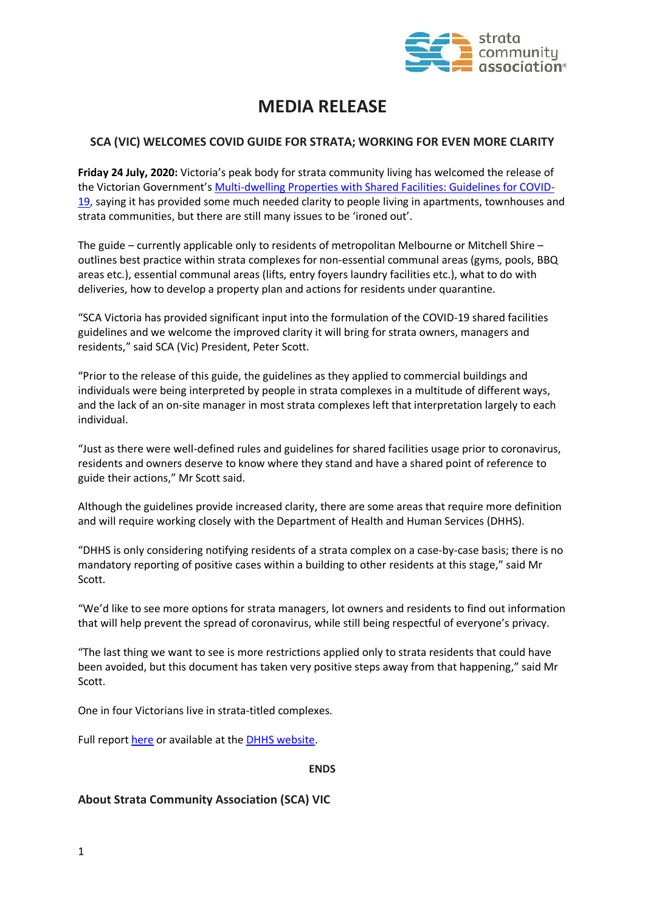

# **MEDIA RELEASE**

# **SCA (VIC) WELCOMES COVID GUIDE FOR STRATA; WORKING FOR EVEN MORE CLARITY**

**Friday 24 July, 2020:** Victoria's peak body for strata community living has welcomed the release of the Victorian Government's [Multi-dwelling Properties with Shared Facilities: Guidelines for COVID-](https://219f6dfc-0cec-4cec-a74e-08f4880ac7fc.filesusr.com/ugd/9557d6_f04e4d479c7c4e42912b78f6597e51ae.pdf)[19,](https://219f6dfc-0cec-4cec-a74e-08f4880ac7fc.filesusr.com/ugd/9557d6_f04e4d479c7c4e42912b78f6597e51ae.pdf) saying it has provided some much needed clarity to people living in apartments, townhouses and strata communities, but there are still many issues to be 'ironed out'.

The guide – currently applicable only to residents of metropolitan Melbourne or Mitchell Shire – outlines best practice within strata complexes for non-essential communal areas (gyms, pools, BBQ areas etc.), essential communal areas (lifts, entry foyers laundry facilities etc.), what to do with deliveries, how to develop a property plan and actions for residents under quarantine.

"SCA Victoria has provided significant input into the formulation of the COVID-19 shared facilities guidelines and we welcome the improved clarity it will bring for strata owners, managers and residents," said SCA (Vic) President, Peter Scott.

"Prior to the release of this guide, the guidelines as they applied to commercial buildings and individuals were being interpreted by people in strata complexes in a multitude of different ways, and the lack of an on-site manager in most strata complexes left that interpretation largely to each individual.

"Just as there were well-defined rules and guidelines for shared facilities usage prior to coronavirus, residents and owners deserve to know where they stand and have a shared point of reference to guide their actions," Mr Scott said.

Although the guidelines provide increased clarity, there are some areas that require more definition and will require working closely with the Department of Health and Human Services (DHHS).

"DHHS is only considering notifying residents of a strata complex on a case-by-case basis; there is no mandatory reporting of positive cases within a building to other residents at this stage," said Mr Scott.

"We'd like to see more options for strata managers, lot owners and residents to find out information that will help prevent the spread of coronavirus, while still being respectful of everyone's privacy.

"The last thing we want to see is more restrictions applied only to strata residents that could have been avoided, but this document has taken very positive steps away from that happening," said Mr Scott.

One in four Victorians live in strata-titled complexes.

Full report [here](https://219f6dfc-0cec-4cec-a74e-08f4880ac7fc.filesusr.com/ugd/9557d6_f04e4d479c7c4e42912b78f6597e51ae.pdf) or available at the **DHHS website**.

### **ENDS**

# **About Strata Community Association (SCA) VIC**